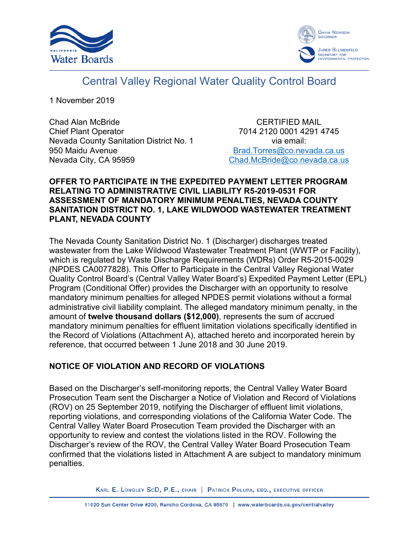



# Central Valley Regional Water Quality Control Board

1 November 2019

Chad Alan McBride Chief Plant Operator Nevada County Sanitation District No. 1 950 Maidu Avenue Nevada City, CA 95959

CERTIFIED MAIL 7014 2120 0001 4291 4745 via email: [Brad.Torres@co.nevada.ca.us](mailto:Brad.Torres@co.nevada.ca.us) [Chad.McBride@co.nevada.ca.us](mailto:Chad.McBride@co.nevada.ca.us)

## **OFFER TO PARTICIPATE IN THE EXPEDITED PAYMENT LETTER PROGRAM RELATING TO ADMINISTRATIVE CIVIL LIABILITY R5-2019-0531 FOR ASSESSMENT OF MANDATORY MINIMUM PENALTIES, NEVADA COUNTY SANITATION DISTRICT NO. 1, LAKE WILDWOOD WASTEWATER TREATMENT PLANT, NEVADA COUNTY**

The Nevada County Sanitation District No. 1 (Discharger) discharges treated wastewater from the Lake Wildwood Wastewater Treatment Plant (WWTP or Facility), which is regulated by Waste Discharge Requirements (WDRs) Order R5-2015-0029 (NPDES CA0077828). This Offer to Participate in the Central Valley Regional Water Quality Control Board's (Central Valley Water Board's) Expedited Payment Letter (EPL) Program (Conditional Offer) provides the Discharger with an opportunity to resolve mandatory minimum penalties for alleged NPDES permit violations without a formal administrative civil liability complaint. The alleged mandatory minimum penalty, in the amount of **twelve thousand dollars (\$12,000)**, represents the sum of accrued mandatory minimum penalties for effluent limitation violations specifically identified in the Record of Violations (Attachment A), attached hereto and incorporated herein by reference, that occurred between 1 June 2018 and 30 June 2019.

## **NOTICE OF VIOLATION AND RECORD OF VIOLATIONS**

Based on the Discharger's self-monitoring reports, the Central Valley Water Board Prosecution Team sent the Discharger a Notice of Violation and Record of Violations (ROV) on 25 September 2019, notifying the Discharger of effluent limit violations, reporting violations, and corresponding violations of the California Water Code. The Central Valley Water Board Prosecution Team provided the Discharger with an opportunity to review and contest the violations listed in the ROV. Following the Discharger's review of the ROV, the Central Valley Water Board Prosecution Team confirmed that the violations listed in Attachment A are subject to mandatory minimum penalties.

KARL E. LONGLEY SCD, P.E., CHAIR | PATRICK PULUPA, ESQ., EXECUTIVE OFFICER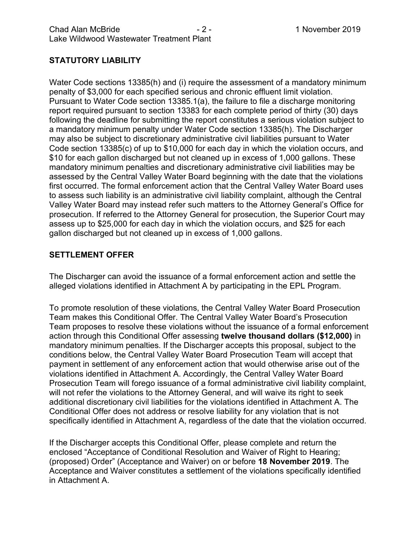# **STATUTORY LIABILITY**

Water Code sections 13385(h) and (i) require the assessment of a mandatory minimum penalty of \$3,000 for each specified serious and chronic effluent limit violation. Pursuant to Water Code section 13385.1(a), the failure to file a discharge monitoring report required pursuant to section 13383 for each complete period of thirty (30) days following the deadline for submitting the report constitutes a serious violation subject to a mandatory minimum penalty under Water Code section 13385(h). The Discharger may also be subject to discretionary administrative civil liabilities pursuant to Water Code section 13385(c) of up to \$10,000 for each day in which the violation occurs, and \$10 for each gallon discharged but not cleaned up in excess of 1,000 gallons. These mandatory minimum penalties and discretionary administrative civil liabilities may be assessed by the Central Valley Water Board beginning with the date that the violations first occurred. The formal enforcement action that the Central Valley Water Board uses to assess such liability is an administrative civil liability complaint, although the Central Valley Water Board may instead refer such matters to the Attorney General's Office for prosecution. If referred to the Attorney General for prosecution, the Superior Court may assess up to \$25,000 for each day in which the violation occurs, and \$25 for each gallon discharged but not cleaned up in excess of 1,000 gallons.

## **SETTLEMENT OFFER**

The Discharger can avoid the issuance of a formal enforcement action and settle the alleged violations identified in Attachment A by participating in the EPL Program.

To promote resolution of these violations, the Central Valley Water Board Prosecution Team makes this Conditional Offer. The Central Valley Water Board's Prosecution Team proposes to resolve these violations without the issuance of a formal enforcement action through this Conditional Offer assessing **twelve thousand dollars (\$12,000)** in mandatory minimum penalties. If the Discharger accepts this proposal, subject to the conditions below, the Central Valley Water Board Prosecution Team will accept that payment in settlement of any enforcement action that would otherwise arise out of the violations identified in Attachment A. Accordingly, the Central Valley Water Board Prosecution Team will forego issuance of a formal administrative civil liability complaint, will not refer the violations to the Attorney General, and will waive its right to seek additional discretionary civil liabilities for the violations identified in Attachment A. The Conditional Offer does not address or resolve liability for any violation that is not specifically identified in Attachment A, regardless of the date that the violation occurred.

If the Discharger accepts this Conditional Offer, please complete and return the enclosed "Acceptance of Conditional Resolution and Waiver of Right to Hearing; (proposed) Order" (Acceptance and Waiver) on or before **18 November 2019**. The Acceptance and Waiver constitutes a settlement of the violations specifically identified in Attachment A.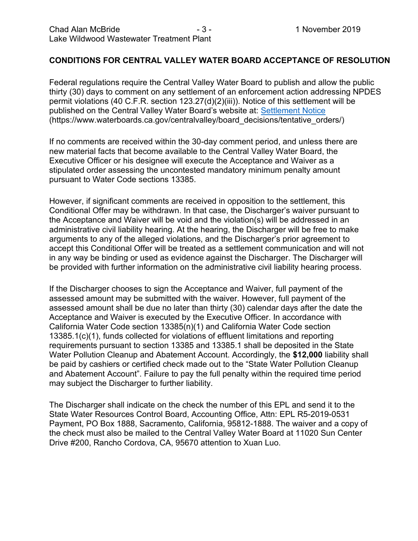## **CONDITIONS FOR CENTRAL VALLEY WATER BOARD ACCEPTANCE OF RESOLUTION**

Federal regulations require the Central Valley Water Board to publish and allow the public thirty (30) days to comment on any settlement of an enforcement action addressing NPDES permit violations (40 C.F.R. section 123.27(d)(2)(iii)). Notice of this settlement will be published on the Central Valley Water Board's website at: [Settlement Notice](https://www.waterboards.ca.gov/centralvalley/board_decisions/tentative_orders/) (https://www.waterboards.ca.gov/centralvalley/board\_decisions/tentative\_orders/)

If no comments are received within the 30-day comment period, and unless there are new material facts that become available to the Central Valley Water Board, the Executive Officer or his designee will execute the Acceptance and Waiver as a stipulated order assessing the uncontested mandatory minimum penalty amount pursuant to Water Code sections 13385.

However, if significant comments are received in opposition to the settlement, this Conditional Offer may be withdrawn. In that case, the Discharger's waiver pursuant to the Acceptance and Waiver will be void and the violation(s) will be addressed in an administrative civil liability hearing. At the hearing, the Discharger will be free to make arguments to any of the alleged violations, and the Discharger's prior agreement to accept this Conditional Offer will be treated as a settlement communication and will not in any way be binding or used as evidence against the Discharger. The Discharger will be provided with further information on the administrative civil liability hearing process.

If the Discharger chooses to sign the Acceptance and Waiver, full payment of the assessed amount may be submitted with the waiver. However, full payment of the assessed amount shall be due no later than thirty (30) calendar days after the date the Acceptance and Waiver is executed by the Executive Officer. In accordance with California Water Code section 13385(n)(1) and California Water Code section 13385.1(c)(1), funds collected for violations of effluent limitations and reporting requirements pursuant to section 13385 and 13385.1 shall be deposited in the State Water Pollution Cleanup and Abatement Account. Accordingly, the **\$12,000** liability shall be paid by cashiers or certified check made out to the "State Water Pollution Cleanup and Abatement Account". Failure to pay the full penalty within the required time period may subject the Discharger to further liability.

The Discharger shall indicate on the check the number of this EPL and send it to the State Water Resources Control Board, Accounting Office, Attn: EPL R5-2019-0531 Payment, PO Box 1888, Sacramento, California, 95812-1888. The waiver and a copy of the check must also be mailed to the Central Valley Water Board at 11020 Sun Center Drive #200, Rancho Cordova, CA, 95670 attention to Xuan Luo.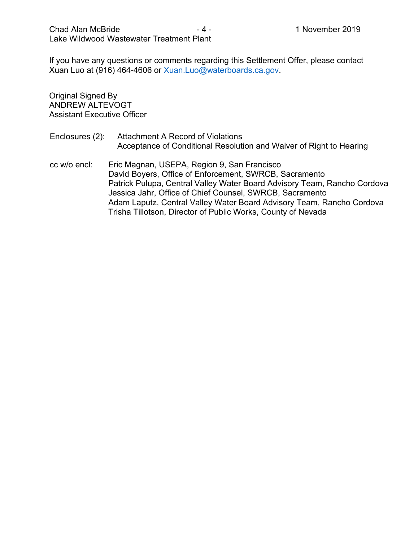If you have any questions or comments regarding this Settlement Offer, please contact Xuan Luo at (916) 464-4606 or [Xuan.Luo@waterboards.ca.gov.](mailto:Xuan.Luo@waterboards.ca.gov)

Original Signed By ANDREW ALTEVOGT Assistant Executive Officer

- Enclosures (2): Attachment A Record of Violations Acceptance of Conditional Resolution and Waiver of Right to Hearing
- cc w/o encl: Eric Magnan, USEPA, Region 9, San Francisco David Boyers, Office of Enforcement, SWRCB, Sacramento Patrick Pulupa, Central Valley Water Board Advisory Team, Rancho Cordova Jessica Jahr, Office of Chief Counsel, SWRCB, Sacramento Adam Laputz, Central Valley Water Board Advisory Team, Rancho Cordova Trisha Tillotson, Director of Public Works, County of Nevada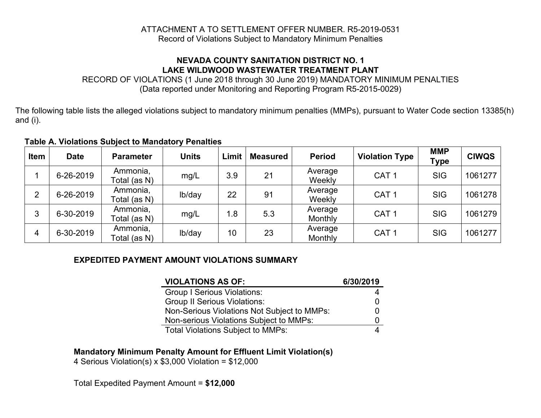#### ATTACHMENT A TO SETTLEMENT OFFER NUMBER. R5-2019-0531 Record of Violations Subject to Mandatory Minimum Penalties

#### **NEVADA COUNTY SANITATION DISTRICT NO. 1 LAKE WILDWOOD WASTEWATER TREATMENT PLANT**

RECORD OF VIOLATIONS (1 June 2018 through 30 June 2019) MANDATORY MINIMUM PENALTIES (Data reported under Monitoring and Reporting Program R5-2015-0029)

The following table lists the alleged violations subject to mandatory minimum penalties (MMPs), pursuant to Water Code section 13385(h) and (i).

#### **Table A. Violations Subject to Mandatory Penalties**

| <b>Item</b>    | <b>Date</b> | <b>Parameter</b>         | <b>Units</b> | Limit | <b>Measured</b> | <b>Period</b>      | <b>Violation Type</b> | <b>MMP</b><br>Type | <b>CIWQS</b> |
|----------------|-------------|--------------------------|--------------|-------|-----------------|--------------------|-----------------------|--------------------|--------------|
|                | 6-26-2019   | Ammonia,<br>Total (as N) | mg/L         | 3.9   | 21              | Average<br>Weekly  | CAT <sub>1</sub>      | <b>SIG</b>         | 1061277      |
| $\overline{2}$ | 6-26-2019   | Ammonia,<br>Total (as N) | lb/day       | 22    | 91              | Average<br>Weekly  | CAT <sub>1</sub>      | <b>SIG</b>         | 1061278      |
| 3              | 6-30-2019   | Ammonia,<br>Total (as N) | mg/L         | 1.8   | 5.3             | Average<br>Monthly | CAT <sub>1</sub>      | <b>SIG</b>         | 1061279      |
| 4              | 6-30-2019   | Ammonia,<br>Total (as N) | lb/day       | 10    | 23              | Average<br>Monthly | CAT <sub>1</sub>      | <b>SIG</b>         | 1061277      |

#### **EXPEDITED PAYMENT AMOUNT VIOLATIONS SUMMARY**

| <b>VIOLATIONS AS OF:</b>                    | 6/30/2019 |
|---------------------------------------------|-----------|
| <b>Group I Serious Violations:</b>          | 4         |
| <b>Group II Serious Violations:</b>         | 0         |
| Non-Serious Violations Not Subject to MMPs: | 0         |
| Non-serious Violations Subject to MMPs:     |           |
| <b>Total Violations Subject to MMPs:</b>    |           |

#### **Mandatory Minimum Penalty Amount for Effluent Limit Violation(s)**

4 Serious Violation(s) x \$3,000 Violation = \$12,000

Total Expedited Payment Amount = **\$12,000**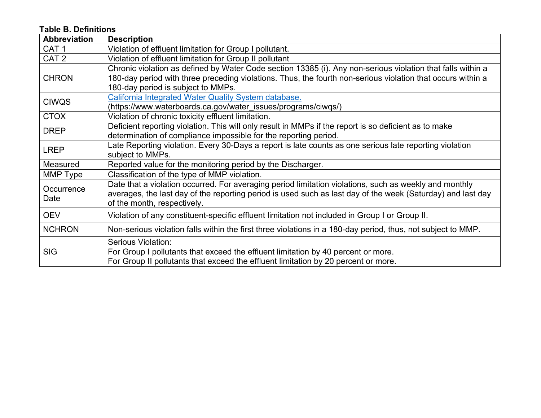# **Table B. Definitions**

| <b>Abbreviation</b> | <b>Description</b>                                                                                                                                                                                                                                               |
|---------------------|------------------------------------------------------------------------------------------------------------------------------------------------------------------------------------------------------------------------------------------------------------------|
| CAT <sub>1</sub>    | Violation of effluent limitation for Group I pollutant.                                                                                                                                                                                                          |
| CAT <sub>2</sub>    | Violation of effluent limitation for Group II pollutant                                                                                                                                                                                                          |
| <b>CHRON</b>        | Chronic violation as defined by Water Code section 13385 (i). Any non-serious violation that falls within a<br>180-day period with three preceding violations. Thus, the fourth non-serious violation that occurs within a<br>180-day period is subject to MMPs. |
| <b>CIWQS</b>        | California Integrated Water Quality System database.<br>(https://www.waterboards.ca.gov/water_issues/programs/ciwgs/)                                                                                                                                            |
| <b>CTOX</b>         | Violation of chronic toxicity effluent limitation.                                                                                                                                                                                                               |
| <b>DREP</b>         | Deficient reporting violation. This will only result in MMPs if the report is so deficient as to make<br>determination of compliance impossible for the reporting period.                                                                                        |
| <b>LREP</b>         | Late Reporting violation. Every 30-Days a report is late counts as one serious late reporting violation<br>subject to MMPs.                                                                                                                                      |
| Measured            | Reported value for the monitoring period by the Discharger.                                                                                                                                                                                                      |
| MMP Type            | Classification of the type of MMP violation.                                                                                                                                                                                                                     |
| Occurrence<br>Date  | Date that a violation occurred. For averaging period limitation violations, such as weekly and monthly<br>averages, the last day of the reporting period is used such as last day of the week (Saturday) and last day<br>of the month, respectively.             |
| <b>OEV</b>          | Violation of any constituent-specific effluent limitation not included in Group I or Group II.                                                                                                                                                                   |
| <b>NCHRON</b>       | Non-serious violation falls within the first three violations in a 180-day period, thus, not subject to MMP.                                                                                                                                                     |
| <b>SIG</b>          | Serious Violation:<br>For Group I pollutants that exceed the effluent limitation by 40 percent or more.<br>For Group II pollutants that exceed the effluent limitation by 20 percent or more.                                                                    |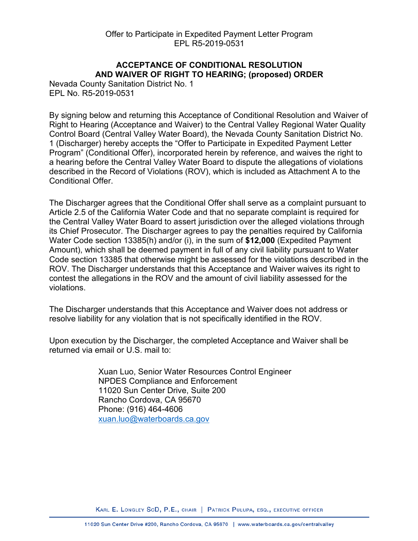# **ACCEPTANCE OF CONDITIONAL RESOLUTION AND WAIVER OF RIGHT TO HEARING; (proposed) ORDER**

Nevada County Sanitation District No. 1 EPL No. R5-2019-0531

By signing below and returning this Acceptance of Conditional Resolution and Waiver of Right to Hearing (Acceptance and Waiver) to the Central Valley Regional Water Quality Control Board (Central Valley Water Board), the Nevada County Sanitation District No. 1 (Discharger) hereby accepts the "Offer to Participate in Expedited Payment Letter Program" (Conditional Offer), incorporated herein by reference, and waives the right to a hearing before the Central Valley Water Board to dispute the allegations of violations described in the Record of Violations (ROV), which is included as Attachment A to the Conditional Offer.

The Discharger agrees that the Conditional Offer shall serve as a complaint pursuant to Article 2.5 of the California Water Code and that no separate complaint is required for the Central Valley Water Board to assert jurisdiction over the alleged violations through its Chief Prosecutor. The Discharger agrees to pay the penalties required by California Water Code section 13385(h) and/or (i), in the sum of **\$12,000** (Expedited Payment Amount), which shall be deemed payment in full of any civil liability pursuant to Water Code section 13385 that otherwise might be assessed for the violations described in the ROV. The Discharger understands that this Acceptance and Waiver waives its right to contest the allegations in the ROV and the amount of civil liability assessed for the violations.

The Discharger understands that this Acceptance and Waiver does not address or resolve liability for any violation that is not specifically identified in the ROV.

Upon execution by the Discharger, the completed Acceptance and Waiver shall be returned via email or U.S. mail to:

> Xuan Luo, Senior Water Resources Control Engineer NPDES Compliance and Enforcement 11020 Sun Center Drive, Suite 200 Rancho Cordova, CA 95670 Phone: (916) 464-4606 [xuan.luo@waterboards.ca.gov](mailto:xuan.luo@waterboards.ca.gov)

KARL E. LONGLEY SCD, P.E., CHAIR | PATRICK PULUPA, ESQ., EXECUTIVE OFFICER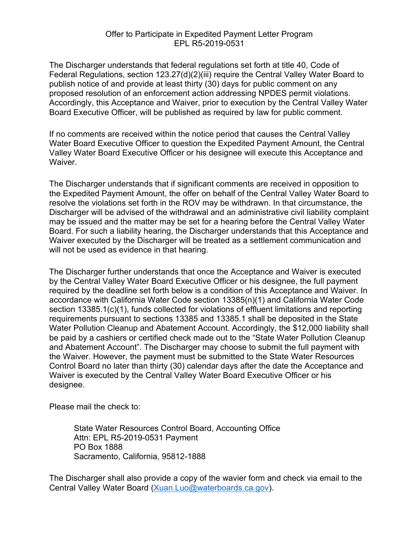#### Offer to Participate in Expedited Payment Letter Program EPL R5-2019-0531

The Discharger understands that federal regulations set forth at title 40, Code of Federal Regulations, section 123.27(d)(2)(iii) require the Central Valley Water Board to publish notice of and provide at least thirty (30) days for public comment on any proposed resolution of an enforcement action addressing NPDES permit violations. Accordingly, this Acceptance and Waiver, prior to execution by the Central Valley Water Board Executive Officer, will be published as required by law for public comment.

If no comments are received within the notice period that causes the Central Valley Water Board Executive Officer to question the Expedited Payment Amount, the Central Valley Water Board Executive Officer or his designee will execute this Acceptance and Waiver.

The Discharger understands that if significant comments are received in opposition to the Expedited Payment Amount, the offer on behalf of the Central Valley Water Board to resolve the violations set forth in the ROV may be withdrawn. In that circumstance, the Discharger will be advised of the withdrawal and an administrative civil liability complaint may be issued and the matter may be set for a hearing before the Central Valley Water Board. For such a liability hearing, the Discharger understands that this Acceptance and Waiver executed by the Discharger will be treated as a settlement communication and will not be used as evidence in that hearing.

The Discharger further understands that once the Acceptance and Waiver is executed by the Central Valley Water Board Executive Officer or his designee, the full payment required by the deadline set forth below is a condition of this Acceptance and Waiver. In accordance with California Water Code section 13385(n)(1) and California Water Code section 13385.1(c)(1), funds collected for violations of effluent limitations and reporting requirements pursuant to sections 13385 and 13385.1 shall be deposited in the State Water Pollution Cleanup and Abatement Account. Accordingly, the \$12,000 liability shall be paid by a cashiers or certified check made out to the "State Water Pollution Cleanup and Abatement Account". The Discharger may choose to submit the full payment with the Waiver. However, the payment must be submitted to the State Water Resources Control Board no later than thirty (30) calendar days after the date the Acceptance and Waiver is executed by the Central Valley Water Board Executive Officer or his designee.

Please mail the check to:

State Water Resources Control Board, Accounting Office Attn: EPL R5-2019-0531 Payment PO Box 1888 Sacramento, California, 95812-1888

The Discharger shall also provide a copy of the wavier form and check via email to the Central Valley Water Board ([Xuan.Luo@waterboards.ca.gov](mailto:Xuan.Luo@waterboards.ca.gov)).